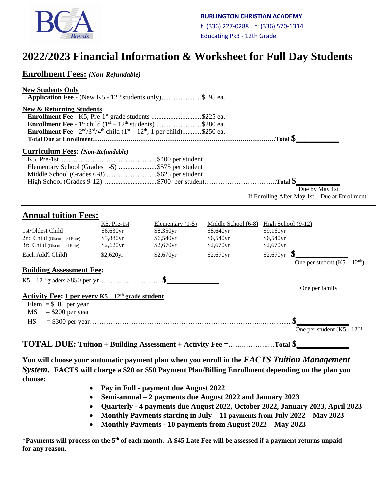

# **2022/2023 Financial Information & Worksheet for Full Day Students**

| <b>Enrollment Fees:</b> (Non-Refundable)                                                                                                                                                                                                                                                                      |                                                    |                                                                                                                                                   |                                                                                   |                                                                     |  |
|---------------------------------------------------------------------------------------------------------------------------------------------------------------------------------------------------------------------------------------------------------------------------------------------------------------|----------------------------------------------------|---------------------------------------------------------------------------------------------------------------------------------------------------|-----------------------------------------------------------------------------------|---------------------------------------------------------------------|--|
| <b>New Students Only</b><br><b>Application Fee -</b> (New K5 - $12th$ students only)\$ 95 ea.                                                                                                                                                                                                                 |                                                    |                                                                                                                                                   |                                                                                   |                                                                     |  |
| <b>New &amp; Returning Students</b><br><b>Enrollment Fee</b> - K5, Pre-1 <sup>st</sup> grade students \$225 ea.<br><b>Enrollment Fee</b> - 1 <sup>st</sup> child $(1^{st} - 12^{th}$ students) \$280 ea.<br><b>Enrollment Fee</b> - $2^{nd}/3^{rd}/4^{th}$ child ( $1^{st} - 12^{th}$ ; 1 per child)\$250 ea. |                                                    |                                                                                                                                                   |                                                                                   |                                                                     |  |
| <b>Curriculum Fees:</b> (Non-Refundable)<br>Elementary School (Grades 1-5) \$575 per student<br>Middle School (Grades 6-8) \$625 per student<br>High School (Grades 9-12) \$700 per studentTotal \$                                                                                                           |                                                    |                                                                                                                                                   |                                                                                   | Due by May 1st<br>If Enrolling After May 1st - Due at Enrollment    |  |
| <b>Annual tuition Fees:</b>                                                                                                                                                                                                                                                                                   |                                                    |                                                                                                                                                   |                                                                                   |                                                                     |  |
| 1st/Oldest Child<br>2nd Child (Discounted Rate)<br>3rd Child (Discounted Rate)                                                                                                                                                                                                                                | K5, Pre-1st<br>\$6,630yr<br>\$5,880yr<br>\$2,620yr | Elementary $(1-5)$<br>\$8,350yr<br>\$6,540yr<br>\$2,670yr                                                                                         | Middle School $(6-8)$ High School $(9-12)$<br>\$8,640yr<br>\$6,540yr<br>\$2,670yr | \$9,160yr<br>\$6,540yr<br>\$2,670yr                                 |  |
| Each Add'l Child)                                                                                                                                                                                                                                                                                             | $$2,620$ yr                                        | \$2,670yr                                                                                                                                         | \$2,670yr                                                                         | \$2,670yr<br>One per student $(K5 - 12th)$                          |  |
| <b>Building Assessment Fee:</b>                                                                                                                                                                                                                                                                               |                                                    |                                                                                                                                                   |                                                                                   | One per family                                                      |  |
| Activity Fee: 1 per every K5 - 12 <sup>th</sup> grade student<br>Elem = $$85$ per year<br>$=$ \$200 per year<br>MS.                                                                                                                                                                                           |                                                    |                                                                                                                                                   |                                                                                   |                                                                     |  |
| <b>HS</b>                                                                                                                                                                                                                                                                                                     |                                                    | $\mathbf{r}$ , and $\mathbf{r}$ , and $\mathbf{r}$ , and $\mathbf{r}$ , and $\mathbf{r}$ , and $\mathbf{r}$ , and $\mathbf{r}$ , and $\mathbf{r}$ |                                                                                   | One per student $(K5 - 12th)$<br>$\sim$ $\sim$ $\sim$ $\sim$ $\sim$ |  |

#### **TOTAL DUE: Tuition + Building Assessment + Activity Fee =**…….………..…**Total \$\_\_\_\_\_\_\_\_\_\_\_\_**

**You will choose your automatic payment plan when you enroll in the** *FACTS Tuition Management System***. FACTS will charge a \$20 or \$50 Payment Plan/Billing Enrollment depending on the plan you choose:**

- • **Pay in Full - payment due August 2022**
- **Semi-annual – 2 payments due August 2022 and January 2023**
- **Quarterly - 4 payments due August 2022, October 2022, January 2023, April 2023**
- **Monthly Payments starting in July – 11 payments from July 2022 – May 2023**
- **Monthly Payments - 10 payments from August 2022 – May 2023**

\***Payments will process on the 5th of each month. A \$45 Late Fee will be assessed if a payment returns unpaid for any reason.**